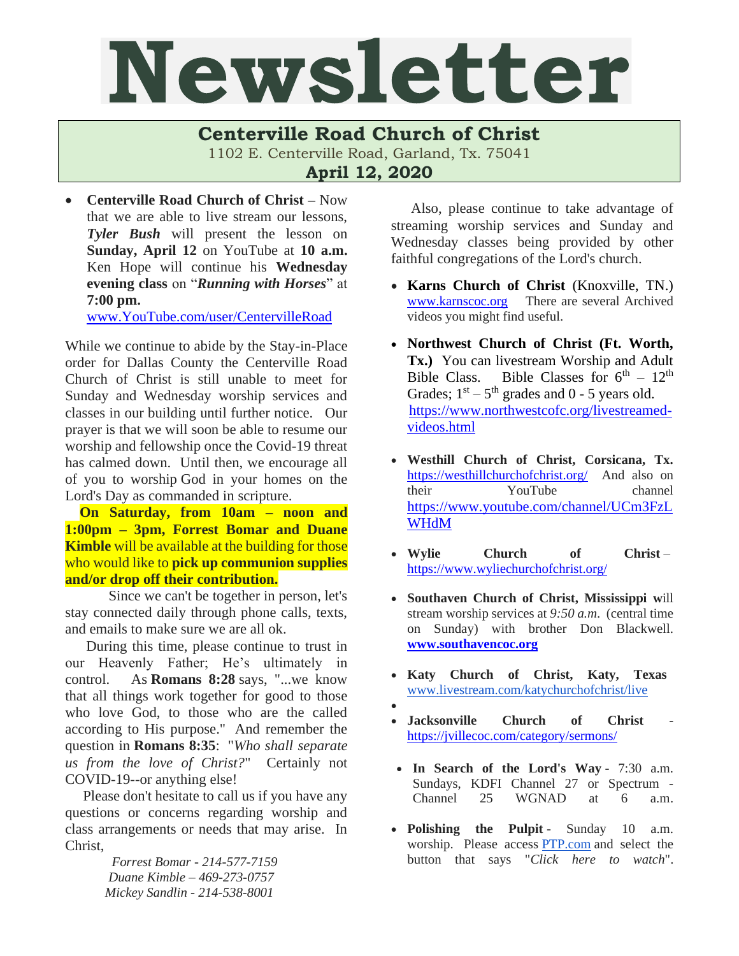## Newsletter

## **Centerville Road Church of Christ**

1102 E. Centerville Road, Garland, Tx. 75041

**April 12, 2020**

• **Centerville Road Church of Christ –** Now that we are able to live stream our lessons, *Tyler Bush* will present the lesson on **Sunday, April 12** on YouTube at **10 a.m.** Ken Hope will continue his **Wednesday evening class** on "*Running with Horses*" at **7:00 pm.**

[www.YouTube.com/user/CentervilleRoad](http://www.youtube.com/user/CentervilleRoad)

While we continue to abide by the Stay-in-Place order for Dallas County the Centerville Road Church of Christ is still unable to meet for Sunday and Wednesday worship services and classes in our building until further notice. Our prayer is that we will soon be able to resume our worship and fellowship once the Covid-19 threat has calmed down. Until then, we encourage all of you to worship God in your homes on the Lord's Day as commanded in scripture.

 **On Saturday, from 10am – noon and 1:00pm – 3pm, Forrest Bomar and Duane Kimble** will be available at the building for those who would like to **pick up communion supplies and/or drop off their contribution.**

Since we can't be together in person, let's stay connected daily through phone calls, texts, and emails to make sure we are all ok.

During this time, please continue to trust in our Heavenly Father; He's ultimately in control. As **Romans 8:28** says, "...we know that all things work together for good to those who love God, to those who are the called according to His purpose." And remember the question in **Romans 8:35**: "*Who shall separate us from the love of Christ?*" Certainly not COVID-19--or anything else!

Please don't hesitate to call us if you have any questions or concerns regarding worship and class arrangements or needs that may arise. In Christ,

> *Forrest Bomar - 214-577-7159 Duane Kimble – 469-273-0757 Mickey Sandlin - 214-538-8001*

Also, please continue to take advantage of streaming worship services and Sunday and Wednesday classes being provided by other faithful congregations of the Lord's church.

- **Karns Church of Christ** (Knoxville, TN.) [www.karnscoc.org](http://www.karnscoc.org/) There are several Archived videos you might find useful.
- **Northwest Church of Christ (Ft. Worth, Tx.)** You can livestream Worship and Adult Bible Class. Bible Classes for  $6<sup>th</sup> - 12<sup>th</sup>$ Grades;  $1<sup>st</sup> - 5<sup>th</sup>$  grades and 0 - 5 years old. [https://www.northwestcofc.org/livestreamed](https://www.northwestcofc.org/livestreamed-videos.html)[videos.html](https://www.northwestcofc.org/livestreamed-videos.html)
- **Westhill Church of Christ, Corsicana, Tx.** <https://westhillchurchofchrist.org/>And also on their YouTube channel [https://www.youtube.com/channel/UCm3FzL](https://www.youtube.com/channel/UCm3FzLWHdM) [WHdM](https://www.youtube.com/channel/UCm3FzLWHdM)
- **Wylie Church of Christ** <https://www.wyliechurchofchrist.org/>
- **Southaven Church of Christ, Mississippi w**ill stream worship services at *9:50 a.m*. (central time on Sunday) with brother Don Blackwell. **[www.southavencoc.org](http://www.southavencoc.org/)**
- **Katy Church of Christ, Katy, Texas**  [www.livestream.com/katychurchofchrist/live](http://www.livestream.com/katychurchofchrist/live)
- •
- *<u>Jacksonville</u>* **Church** of **Christ** <https://jvillecoc.com/category/sermons/>
- **In Search of the Lord's Way** 7:30 a.m. Sundays, KDFI Channel 27 or Spectrum - Channel 25 WGNAD at 6 a.m.
- **Polishing the Pulpit** Sunday 10 a.m. worship. Please access **[PTP.com](http://ptp.com/)** and select the button that says "*Click here to watch*".